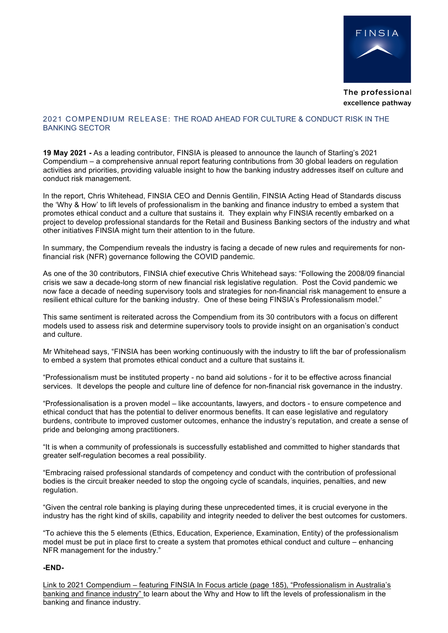

The professional excellence pathway

## 2021 COMPENDIUM RELEASE: THE ROAD AHEAD FOR CULTURE & CONDUCT RISK IN THE BANKING SECTOR

**19 May 2021 -** As a leading contributor, FINSIA is pleased to announce the launch of Starling's 2021 Compendium – a comprehensive annual report featuring contributions from 30 global leaders on regulation activities and priorities, providing valuable insight to how the banking industry addresses itself on culture and conduct risk management.

In the report, Chris Whitehead, FINSIA CEO and Dennis Gentilin, FINSIA Acting Head of Standards discuss the 'Why & How' to lift levels of professionalism in the banking and finance industry to embed a system that promotes ethical conduct and a culture that sustains it. They explain why FINSIA recently embarked on a project to develop professional standards for the Retail and Business Banking sectors of the industry and what other initiatives FINSIA might turn their attention to in the future.

In summary, the Compendium reveals the industry is facing a decade of new rules and requirements for nonfinancial risk (NFR) governance following the COVID pandemic.

As one of the 30 contributors, FINSIA chief executive Chris Whitehead says: "Following the 2008/09 financial crisis we saw a decade-long storm of new financial risk legislative regulation. Post the Covid pandemic we now face a decade of needing supervisory tools and strategies for non-financial risk management to ensure a resilient ethical culture for the banking industry. One of these being FINSIA's Professionalism model."

This same sentiment is reiterated across the Compendium from its 30 contributors with a focus on different models used to assess risk and determine supervisory tools to provide insight on an organisation's conduct and culture.

Mr Whitehead says, "FINSIA has been working continuously with the industry to lift the bar of professionalism to embed a system that promotes ethical conduct and a culture that sustains it.

"Professionalism must be instituted property - no band aid solutions - for it to be effective across financial services. It develops the people and culture line of defence for non-financial risk governance in the industry.

"Professionalisation is a proven model – like accountants, lawyers, and doctors - to ensure competence and ethical conduct that has the potential to deliver enormous benefits. It can ease legislative and regulatory burdens, contribute to improved customer outcomes, enhance the industry's reputation, and create a sense of pride and belonging among practitioners.

"It is when a community of professionals is successfully established and committed to higher standards that greater self-regulation becomes a real possibility.

"Embracing raised professional standards of competency and conduct with the contribution of professional bodies is the circuit breaker needed to stop the ongoing cycle of scandals, inquiries, penalties, and new regulation.

"Given the central role banking is playing during these unprecedented times, it is crucial everyone in the industry has the right kind of skills, capability and integrity needed to deliver the best outcomes for customers.

"To achieve this the 5 elements (Ethics, Education, Experience, Examination, Entity) of the professionalism model must be put in place first to create a system that promotes ethical conduct and culture – enhancing NFR management for the industry."

## **-END-**

Link to 2021 Compendium – featuring FINSIA In Focus article (page 185), "Professionalism in Australia's banking and finance industry" to learn about the Why and How to lift the levels of professionalism in the banking and finance industry.